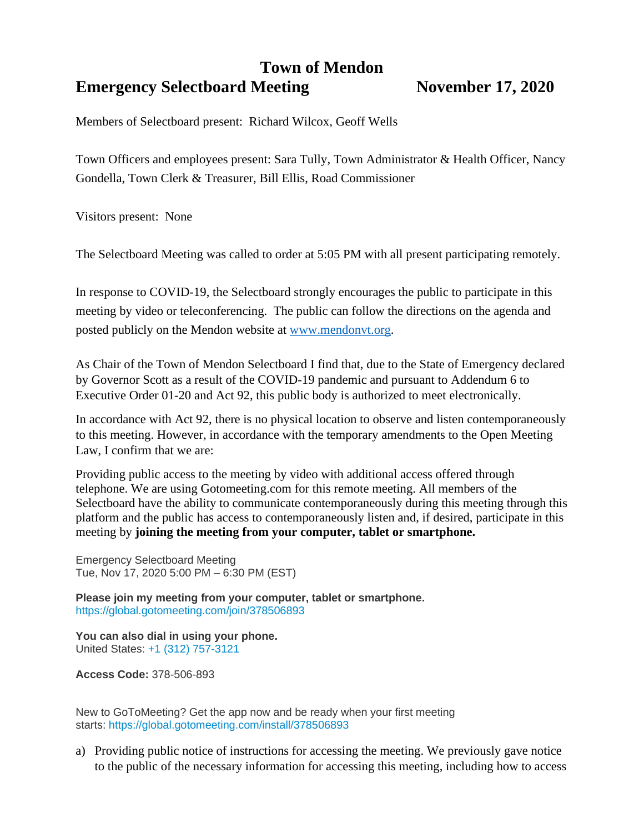## **Town of Mendon Emergency Selectboard Meeting Movember 17, 2020**

Members of Selectboard present: Richard Wilcox, Geoff Wells

Town Officers and employees present: Sara Tully, Town Administrator & Health Officer, Nancy Gondella, Town Clerk & Treasurer, Bill Ellis, Road Commissioner

Visitors present: None

The Selectboard Meeting was called to order at 5:05 PM with all present participating remotely.

In response to COVID-19, the Selectboard strongly encourages the public to participate in this meeting by video or teleconferencing. The public can follow the directions on the agenda and posted publicly on the Mendon website at [www.mendonvt.org.](http://www.mendonvt.org/)

As Chair of the Town of Mendon Selectboard I find that, due to the State of Emergency declared by Governor Scott as a result of the COVID-19 pandemic and pursuant to Addendum 6 to Executive Order 01-20 and Act 92, this public body is authorized to meet electronically.

In accordance with Act 92, there is no physical location to observe and listen contemporaneously to this meeting. However, in accordance with the temporary amendments to the Open Meeting Law, I confirm that we are:

Providing public access to the meeting by video with additional access offered through telephone. We are using Gotomeeting.com for this remote meeting. All members of the Selectboard have the ability to communicate contemporaneously during this meeting through this platform and the public has access to contemporaneously listen and, if desired, participate in this meeting by **joining the meeting from your computer, tablet or smartphone.** 

Emergency Selectboard Meeting Tue, Nov 17, 2020 5:00 PM – 6:30 PM (EST)

**Please join my meeting from your computer, tablet or smartphone.** <https://global.gotomeeting.com/join/378506893>

**You can also dial in using your phone.** United States: [+1 \(312\) 757-3121](tel:+13127573121,,378506893)

**Access Code:** 378-506-893

New to GoToMeeting? Get the app now and be ready when your first meeting starts: <https://global.gotomeeting.com/install/378506893>

a) Providing public notice of instructions for accessing the meeting. We previously gave notice to the public of the necessary information for accessing this meeting, including how to access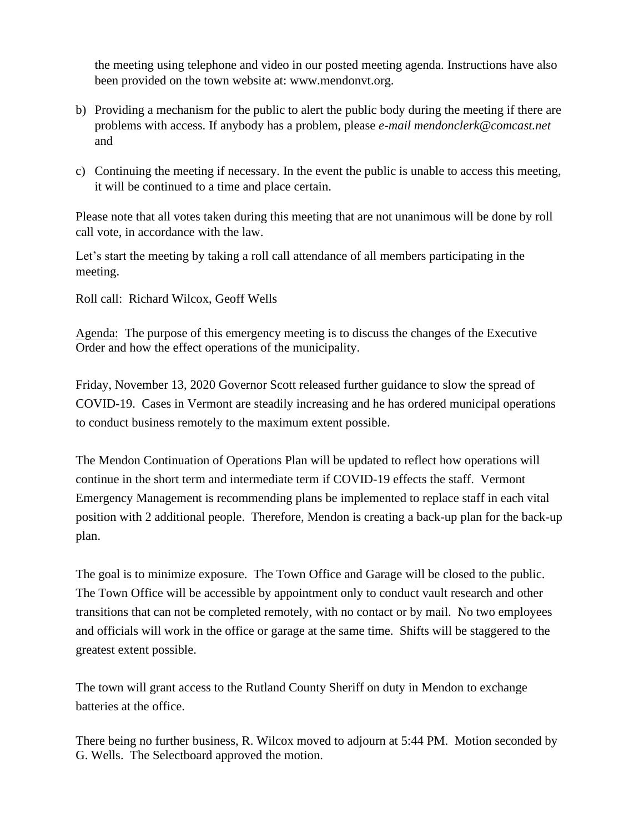the meeting using telephone and video in our posted meeting agenda. Instructions have also been provided on the town website at: www.mendonvt.org.

- b) Providing a mechanism for the public to alert the public body during the meeting if there are problems with access. If anybody has a problem, please *e-mail mendonclerk@comcast.net* and
- c) Continuing the meeting if necessary. In the event the public is unable to access this meeting, it will be continued to a time and place certain.

Please note that all votes taken during this meeting that are not unanimous will be done by roll call vote, in accordance with the law.

Let's start the meeting by taking a roll call attendance of all members participating in the meeting.

Roll call: Richard Wilcox, Geoff Wells

Agenda: The purpose of this emergency meeting is to discuss the changes of the Executive Order and how the effect operations of the municipality.

Friday, November 13, 2020 Governor Scott released further guidance to slow the spread of COVID-19. Cases in Vermont are steadily increasing and he has ordered municipal operations to conduct business remotely to the maximum extent possible.

The Mendon Continuation of Operations Plan will be updated to reflect how operations will continue in the short term and intermediate term if COVID-19 effects the staff. Vermont Emergency Management is recommending plans be implemented to replace staff in each vital position with 2 additional people. Therefore, Mendon is creating a back-up plan for the back-up plan.

The goal is to minimize exposure. The Town Office and Garage will be closed to the public. The Town Office will be accessible by appointment only to conduct vault research and other transitions that can not be completed remotely, with no contact or by mail. No two employees and officials will work in the office or garage at the same time. Shifts will be staggered to the greatest extent possible.

The town will grant access to the Rutland County Sheriff on duty in Mendon to exchange batteries at the office.

There being no further business, R. Wilcox moved to adjourn at 5:44 PM. Motion seconded by G. Wells. The Selectboard approved the motion.